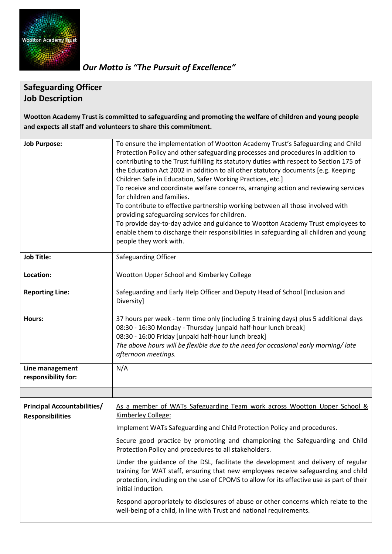

*Our Motto is "The Pursuit of Excellence"*

## **Safeguarding Officer Job Description**

**Wootton Academy Trust is committed to safeguarding and promoting the welfare of children and young people and expects all staff and volunteers to share this commitment.**

| <b>Job Purpose:</b>                                           | To ensure the implementation of Wootton Academy Trust's Safeguarding and Child<br>Protection Policy and other safeguarding processes and procedures in addition to<br>contributing to the Trust fulfilling its statutory duties with respect to Section 175 of<br>the Education Act 2002 in addition to all other statutory documents [e.g. Keeping<br>Children Safe in Education, Safer Working Practices, etc.]<br>To receive and coordinate welfare concerns, arranging action and reviewing services<br>for children and families.<br>To contribute to effective partnership working between all those involved with<br>providing safeguarding services for children.<br>To provide day-to-day advice and guidance to Wootton Academy Trust employees to<br>enable them to discharge their responsibilities in safeguarding all children and young<br>people they work with. |
|---------------------------------------------------------------|----------------------------------------------------------------------------------------------------------------------------------------------------------------------------------------------------------------------------------------------------------------------------------------------------------------------------------------------------------------------------------------------------------------------------------------------------------------------------------------------------------------------------------------------------------------------------------------------------------------------------------------------------------------------------------------------------------------------------------------------------------------------------------------------------------------------------------------------------------------------------------|
| <b>Job Title:</b>                                             | Safeguarding Officer                                                                                                                                                                                                                                                                                                                                                                                                                                                                                                                                                                                                                                                                                                                                                                                                                                                             |
| Location:                                                     | Wootton Upper School and Kimberley College                                                                                                                                                                                                                                                                                                                                                                                                                                                                                                                                                                                                                                                                                                                                                                                                                                       |
| <b>Reporting Line:</b>                                        | Safeguarding and Early Help Officer and Deputy Head of School [Inclusion and<br>Diversity]                                                                                                                                                                                                                                                                                                                                                                                                                                                                                                                                                                                                                                                                                                                                                                                       |
| <b>Hours:</b>                                                 | 37 hours per week - term time only (including 5 training days) plus 5 additional days<br>08:30 - 16:30 Monday - Thursday [unpaid half-hour lunch break]<br>08:30 - 16:00 Friday [unpaid half-hour lunch break]<br>The above hours will be flexible due to the need for occasional early morning/late<br>afternoon meetings.                                                                                                                                                                                                                                                                                                                                                                                                                                                                                                                                                      |
| Line management<br>responsibility for:                        | N/A                                                                                                                                                                                                                                                                                                                                                                                                                                                                                                                                                                                                                                                                                                                                                                                                                                                                              |
|                                                               |                                                                                                                                                                                                                                                                                                                                                                                                                                                                                                                                                                                                                                                                                                                                                                                                                                                                                  |
| <b>Principal Accountabilities/</b><br><b>Responsibilities</b> | As a member of WATs Safeguarding Team work across Wootton Upper School &<br>Kimberley College:                                                                                                                                                                                                                                                                                                                                                                                                                                                                                                                                                                                                                                                                                                                                                                                   |
|                                                               | Implement WATs Safeguarding and Child Protection Policy and procedures.                                                                                                                                                                                                                                                                                                                                                                                                                                                                                                                                                                                                                                                                                                                                                                                                          |
|                                                               | Secure good practice by promoting and championing the Safeguarding and Child<br>Protection Policy and procedures to all stakeholders.                                                                                                                                                                                                                                                                                                                                                                                                                                                                                                                                                                                                                                                                                                                                            |
|                                                               | Under the guidance of the DSL, facilitate the development and delivery of regular<br>training for WAT staff, ensuring that new employees receive safeguarding and child<br>protection, including on the use of CPOMS to allow for its effective use as part of their<br>initial induction.                                                                                                                                                                                                                                                                                                                                                                                                                                                                                                                                                                                       |
|                                                               | Respond appropriately to disclosures of abuse or other concerns which relate to the<br>well-being of a child, in line with Trust and national requirements.                                                                                                                                                                                                                                                                                                                                                                                                                                                                                                                                                                                                                                                                                                                      |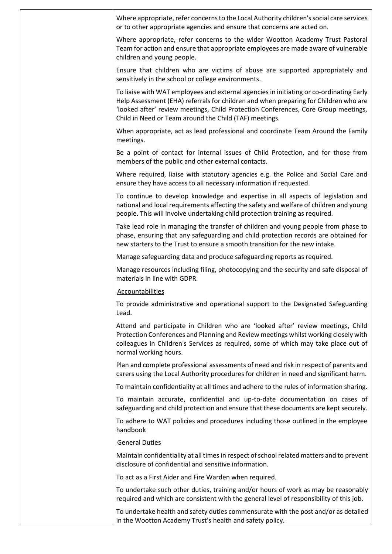| Where appropriate, refer concerns to the Local Authority children's social care services<br>or to other appropriate agencies and ensure that concerns are acted on.                                                                                                                                                             |
|---------------------------------------------------------------------------------------------------------------------------------------------------------------------------------------------------------------------------------------------------------------------------------------------------------------------------------|
| Where appropriate, refer concerns to the wider Wootton Academy Trust Pastoral<br>Team for action and ensure that appropriate employees are made aware of vulnerable<br>children and young people.                                                                                                                               |
| Ensure that children who are victims of abuse are supported appropriately and<br>sensitively in the school or college environments.                                                                                                                                                                                             |
| To liaise with WAT employees and external agencies in initiating or co-ordinating Early<br>Help Assessment (EHA) referrals for children and when preparing for Children who are<br>'looked after' review meetings, Child Protection Conferences, Core Group meetings,<br>Child in Need or Team around the Child (TAF) meetings. |
| When appropriate, act as lead professional and coordinate Team Around the Family<br>meetings.                                                                                                                                                                                                                                   |
| Be a point of contact for internal issues of Child Protection, and for those from<br>members of the public and other external contacts.                                                                                                                                                                                         |
| Where required, liaise with statutory agencies e.g. the Police and Social Care and<br>ensure they have access to all necessary information if requested.                                                                                                                                                                        |
| To continue to develop knowledge and expertise in all aspects of legislation and<br>national and local requirements affecting the safety and welfare of children and young<br>people. This will involve undertaking child protection training as required.                                                                      |
| Take lead role in managing the transfer of children and young people from phase to<br>phase, ensuring that any safeguarding and child protection records are obtained for<br>new starters to the Trust to ensure a smooth transition for the new intake.                                                                        |
| Manage safeguarding data and produce safeguarding reports as required.                                                                                                                                                                                                                                                          |
| Manage resources including filing, photocopying and the security and safe disposal of<br>materials in line with GDPR.                                                                                                                                                                                                           |
| <b>Accountabilities</b>                                                                                                                                                                                                                                                                                                         |
| To provide administrative and operational support to the Designated Safeguarding<br>Lead.                                                                                                                                                                                                                                       |
| Attend and participate in Children who are 'looked after' review meetings, Child<br>Protection Conferences and Planning and Review meetings whilst working closely with<br>colleagues in Children's Services as required, some of which may take place out of<br>normal working hours.                                          |
| Plan and complete professional assessments of need and risk in respect of parents and<br>carers using the Local Authority procedures for children in need and significant harm.                                                                                                                                                 |
| To maintain confidentiality at all times and adhere to the rules of information sharing.                                                                                                                                                                                                                                        |
| To maintain accurate, confidential and up-to-date documentation on cases of<br>safeguarding and child protection and ensure that these documents are kept securely.                                                                                                                                                             |
| To adhere to WAT policies and procedures including those outlined in the employee<br>handbook                                                                                                                                                                                                                                   |
| <b>General Duties</b>                                                                                                                                                                                                                                                                                                           |
| Maintain confidentiality at all times in respect of school related matters and to prevent<br>disclosure of confidential and sensitive information.                                                                                                                                                                              |
| To act as a First Aider and Fire Warden when required.                                                                                                                                                                                                                                                                          |
| To undertake such other duties, training and/or hours of work as may be reasonably<br>required and which are consistent with the general level of responsibility of this job.                                                                                                                                                   |
| To undertake health and safety duties commensurate with the post and/or as detailed<br>in the Wootton Academy Trust's health and safety policy.                                                                                                                                                                                 |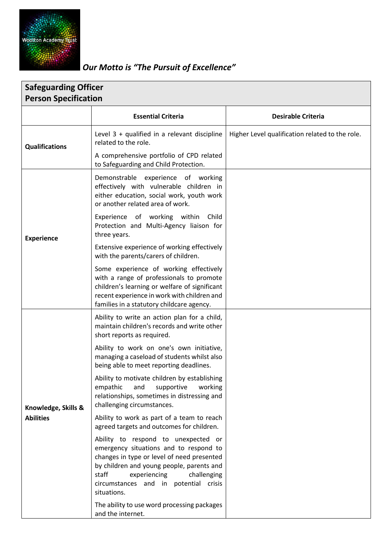

## *Our Motto is "The Pursuit of Excellence"*

| <b>Safeguarding Officer</b><br><b>Person Specification</b> |                                                                                                                                                                                                                                                                          |                                                 |  |  |
|------------------------------------------------------------|--------------------------------------------------------------------------------------------------------------------------------------------------------------------------------------------------------------------------------------------------------------------------|-------------------------------------------------|--|--|
|                                                            | <b>Essential Criteria</b>                                                                                                                                                                                                                                                | <b>Desirable Criteria</b>                       |  |  |
| <b>Qualifications</b>                                      | Level 3 + qualified in a relevant discipline<br>related to the role.                                                                                                                                                                                                     | Higher Level qualification related to the role. |  |  |
|                                                            | A comprehensive portfolio of CPD related<br>to Safeguarding and Child Protection.                                                                                                                                                                                        |                                                 |  |  |
|                                                            | Demonstrable experience of working<br>effectively with vulnerable children in<br>either education, social work, youth work<br>or another related area of work.                                                                                                           |                                                 |  |  |
| <b>Experience</b>                                          | Experience of working within<br>Child<br>Protection and Multi-Agency liaison for<br>three years.                                                                                                                                                                         |                                                 |  |  |
|                                                            | Extensive experience of working effectively<br>with the parents/carers of children.                                                                                                                                                                                      |                                                 |  |  |
|                                                            | Some experience of working effectively<br>with a range of professionals to promote<br>children's learning or welfare of significant<br>recent experience in work with children and<br>families in a statutory childcare agency.                                          |                                                 |  |  |
| Knowledge, Skills &<br><b>Abilities</b>                    | Ability to write an action plan for a child,<br>maintain children's records and write other<br>short reports as required.                                                                                                                                                |                                                 |  |  |
|                                                            | Ability to work on one's own initiative,<br>managing a caseload of students whilst also<br>being able to meet reporting deadlines.                                                                                                                                       |                                                 |  |  |
|                                                            | Ability to motivate children by establishing<br>empathic<br>and<br>supportive<br>working<br>relationships, sometimes in distressing and<br>challenging circumstances.                                                                                                    |                                                 |  |  |
|                                                            | Ability to work as part of a team to reach<br>agreed targets and outcomes for children.                                                                                                                                                                                  |                                                 |  |  |
|                                                            | Ability to respond to unexpected or<br>emergency situations and to respond to<br>changes in type or level of need presented<br>by children and young people, parents and<br>staff<br>experiencing<br>challenging<br>circumstances and in potential crisis<br>situations. |                                                 |  |  |
|                                                            | The ability to use word processing packages<br>and the internet.                                                                                                                                                                                                         |                                                 |  |  |